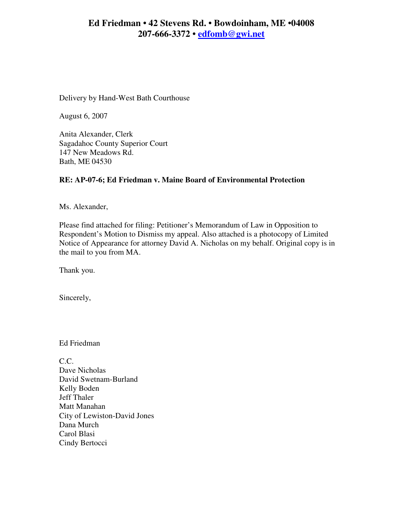# **Ed Friedman • 42 Stevens Rd. • Bowdoinham, ME •04008 207-666-3372 • edfomb@gwi.net**

Delivery by Hand-West Bath Courthouse

August 6, 2007

Anita Alexander, Clerk Sagadahoc County Superior Court 147 New Meadows Rd. Bath, ME 04530

# **RE: AP-07-6; Ed Friedman v. Maine Board of Environmental Protection**

Ms. Alexander,

Please find attached for filing: Petitioner's Memorandum of Law in Opposition to Respondent's Motion to Dismiss my appeal. Also attached is a photocopy of Limited Notice of Appearance for attorney David A. Nicholas on my behalf. Original copy is in the mail to you from MA.

Thank you.

Sincerely,

Ed Friedman

C.C. Dave Nicholas David Swetnam-Burland Kelly Boden Jeff Thaler Matt Manahan City of Lewiston-David Jones Dana Murch Carol Blasi Cindy Bertocci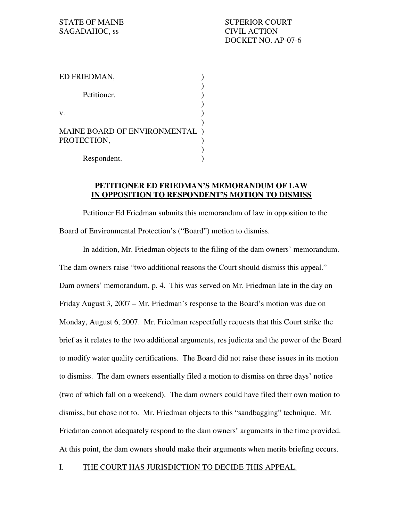| ED FRIEDMAN,                                |  |
|---------------------------------------------|--|
| Petitioner,                                 |  |
| V.                                          |  |
| MAINE BOARD OF ENVIRONMENTAL<br>PROTECTION, |  |
| Respondent.                                 |  |

### **PETITIONER ED FRIEDMAN'S MEMORANDUM OF LAW IN OPPOSITION TO RESPONDENT'S MOTION TO DISMISS**

 Petitioner Ed Friedman submits this memorandum of law in opposition to the Board of Environmental Protection's ("Board") motion to dismiss.

 In addition, Mr. Friedman objects to the filing of the dam owners' memorandum. The dam owners raise "two additional reasons the Court should dismiss this appeal." Dam owners' memorandum, p. 4. This was served on Mr. Friedman late in the day on Friday August 3, 2007 – Mr. Friedman's response to the Board's motion was due on Monday, August 6, 2007. Mr. Friedman respectfully requests that this Court strike the brief as it relates to the two additional arguments, res judicata and the power of the Board to modify water quality certifications. The Board did not raise these issues in its motion to dismiss. The dam owners essentially filed a motion to dismiss on three days' notice (two of which fall on a weekend). The dam owners could have filed their own motion to dismiss, but chose not to. Mr. Friedman objects to this "sandbagging" technique. Mr. Friedman cannot adequately respond to the dam owners' arguments in the time provided. At this point, the dam owners should make their arguments when merits briefing occurs.

#### I. THE COURT HAS JURISDICTION TO DECIDE THIS APPEAL.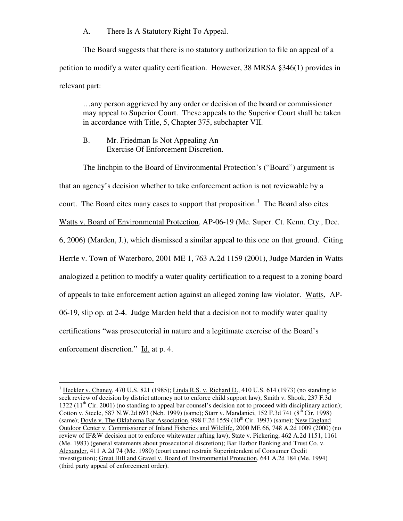### A. There Is A Statutory Right To Appeal.

 The Board suggests that there is no statutory authorization to file an appeal of a petition to modify a water quality certification. However, 38 MRSA §346(1) provides in relevant part:

…any person aggrieved by any order or decision of the board or commissioner may appeal to Superior Court. These appeals to the Superior Court shall be taken in accordance with Title, 5, Chapter 375, subchapter VII.

### B. Mr. Friedman Is Not Appealing An Exercise Of Enforcement Discretion.

 $\overline{a}$ 

 The linchpin to the Board of Environmental Protection's ("Board") argument is that an agency's decision whether to take enforcement action is not reviewable by a court. The Board cites many cases to support that proposition.<sup>1</sup> The Board also cites Watts v. Board of Environmental Protection, AP-06-19 (Me. Super. Ct. Kenn. Cty., Dec. 6, 2006) (Marden, J.), which dismissed a similar appeal to this one on that ground. Citing Herrle v. Town of Waterboro, 2001 ME 1, 763 A.2d 1159 (2001), Judge Marden in Watts analogized a petition to modify a water quality certification to a request to a zoning board of appeals to take enforcement action against an alleged zoning law violator. Watts, AP-06-19, slip op. at 2-4. Judge Marden held that a decision not to modify water quality certifications "was prosecutorial in nature and a legitimate exercise of the Board's enforcement discretion." Id. at p. 4.

 $1$  Heckler v. Chaney, 470 U.S. 821 (1985); Linda R.S. v. Richard D., 410 U.S. 614 (1973) (no standing to seek review of decision by district attorney not to enforce child support law); Smith v. Shook, 237 F.3d 1322  $(11<sup>th</sup> Cir. 2001)$  (no standing to appeal bar counsel's decision not to proceed with disciplinary action); Cotton v. Steele, 587 N.W.2d 693 (Neb. 1999) (same); Starr v. Mandanici, 152 F.3d 741 (8<sup>th</sup> Cir. 1998) (same); Doyle v. The Oklahoma Bar Association, 998 F.2d 1559 ( $10^{th}$  Cir. 1993) (same); New England Outdoor Center v. Commissioner of Inland Fisheries and Wildlife, 2000 ME 66, 748 A.2d 1009 (2000) (no review of IF&W decision not to enforce whitewater rafting law); State v. Pickering, 462 A.2d 1151, 1161 (Me. 1983) (general statements about prosecutorial discretion); Bar Harbor Banking and Trust Co. v. Alexander, 411 A.2d 74 (Me. 1980) (court cannot restrain Superintendent of Consumer Credit investigation); Great Hill and Gravel v. Board of Environmental Protection, 641 A.2d 184 (Me. 1994) (third party appeal of enforcement order).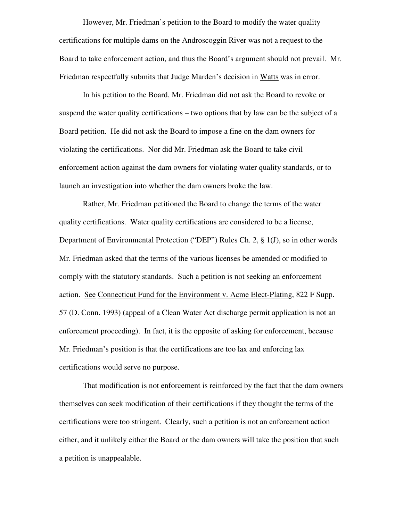However, Mr. Friedman's petition to the Board to modify the water quality certifications for multiple dams on the Androscoggin River was not a request to the Board to take enforcement action, and thus the Board's argument should not prevail. Mr. Friedman respectfully submits that Judge Marden's decision in Watts was in error.

 In his petition to the Board, Mr. Friedman did not ask the Board to revoke or suspend the water quality certifications – two options that by law can be the subject of a Board petition. He did not ask the Board to impose a fine on the dam owners for violating the certifications. Nor did Mr. Friedman ask the Board to take civil enforcement action against the dam owners for violating water quality standards, or to launch an investigation into whether the dam owners broke the law.

 Rather, Mr. Friedman petitioned the Board to change the terms of the water quality certifications. Water quality certifications are considered to be a license, Department of Environmental Protection ("DEP") Rules Ch. 2, § 1(J), so in other words Mr. Friedman asked that the terms of the various licenses be amended or modified to comply with the statutory standards. Such a petition is not seeking an enforcement action. See Connecticut Fund for the Environment v. Acme Elect-Plating, 822 F Supp. 57 (D. Conn. 1993) (appeal of a Clean Water Act discharge permit application is not an enforcement proceeding). In fact, it is the opposite of asking for enforcement, because Mr. Friedman's position is that the certifications are too lax and enforcing lax certifications would serve no purpose.

 That modification is not enforcement is reinforced by the fact that the dam owners themselves can seek modification of their certifications if they thought the terms of the certifications were too stringent. Clearly, such a petition is not an enforcement action either, and it unlikely either the Board or the dam owners will take the position that such a petition is unappealable.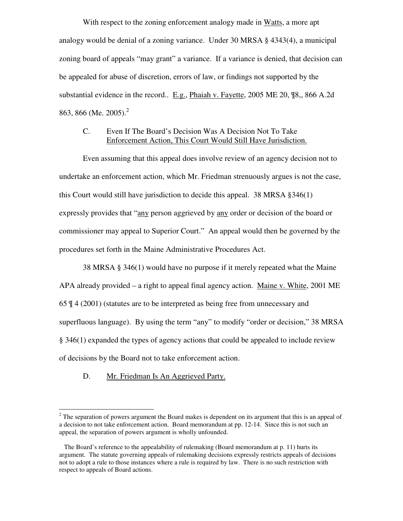With respect to the zoning enforcement analogy made in Watts, a more apt analogy would be denial of a zoning variance. Under 30 MRSA § 4343(4), a municipal zoning board of appeals "may grant" a variance. If a variance is denied, that decision can be appealed for abuse of discretion, errors of law, or findings not supported by the substantial evidence in the record.. E.g., Phaiah v. Fayette, 2005 ME 20, ¶8,, 866 A.2d 863, 866 (Me. 2005).<sup>2</sup>

## C. Even If The Board's Decision Was A Decision Not To Take Enforcement Action, This Court Would Still Have Jurisdiction.

 Even assuming that this appeal does involve review of an agency decision not to undertake an enforcement action, which Mr. Friedman strenuously argues is not the case, this Court would still have jurisdiction to decide this appeal. 38 MRSA §346(1) expressly provides that "any person aggrieved by any order or decision of the board or commissioner may appeal to Superior Court." An appeal would then be governed by the procedures set forth in the Maine Administrative Procedures Act.

 38 MRSA § 346(1) would have no purpose if it merely repeated what the Maine APA already provided – a right to appeal final agency action. Maine v. White, 2001 ME 65 ¶ 4 (2001) (statutes are to be interpreted as being free from unnecessary and superfluous language). By using the term "any" to modify "order or decision," 38 MRSA § 346(1) expanded the types of agency actions that could be appealed to include review of decisions by the Board not to take enforcement action.

D. Mr. Friedman Is An Aggrieved Party.

 $\overline{a}$ 

 $2<sup>2</sup>$  The separation of powers argument the Board makes is dependent on its argument that this is an appeal of a decision to not take enforcement action. Board memorandum at pp. 12-14. Since this is not such an appeal, the separation of powers argument is wholly unfounded.

The Board's reference to the appealability of rulemaking (Board memorandum at p. 11) hurts its argument. The statute governing appeals of rulemaking decisions expressly restricts appeals of decisions not to adopt a rule to those instances where a rule is required by law. There is no such restriction with respect to appeals of Board actions.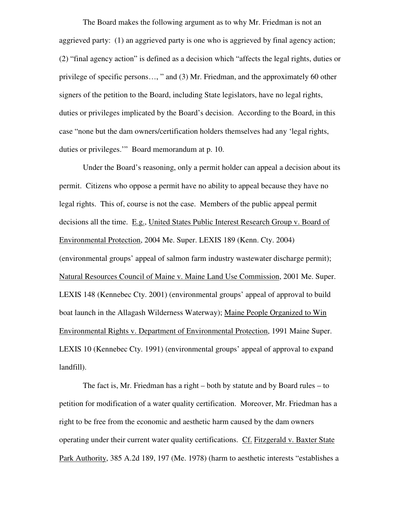The Board makes the following argument as to why Mr. Friedman is not an aggrieved party: (1) an aggrieved party is one who is aggrieved by final agency action; (2) "final agency action" is defined as a decision which "affects the legal rights, duties or privilege of specific persons…, " and (3) Mr. Friedman, and the approximately 60 other signers of the petition to the Board, including State legislators, have no legal rights, duties or privileges implicated by the Board's decision. According to the Board, in this case "none but the dam owners/certification holders themselves had any 'legal rights, duties or privileges.'" Board memorandum at p. 10.

 Under the Board's reasoning, only a permit holder can appeal a decision about its permit. Citizens who oppose a permit have no ability to appeal because they have no legal rights. This of, course is not the case. Members of the public appeal permit decisions all the time. E.g., United States Public Interest Research Group v. Board of Environmental Protection, 2004 Me. Super. LEXIS 189 (Kenn. Cty. 2004) (environmental groups' appeal of salmon farm industry wastewater discharge permit); Natural Resources Council of Maine v. Maine Land Use Commission, 2001 Me. Super. LEXIS 148 (Kennebec Cty. 2001) (environmental groups' appeal of approval to build boat launch in the Allagash Wilderness Waterway); Maine People Organized to Win Environmental Rights v. Department of Environmental Protection, 1991 Maine Super. LEXIS 10 (Kennebec Cty. 1991) (environmental groups' appeal of approval to expand landfill).

The fact is, Mr. Friedman has a right – both by statute and by Board rules – to petition for modification of a water quality certification. Moreover, Mr. Friedman has a right to be free from the economic and aesthetic harm caused by the dam owners operating under their current water quality certifications. Cf. Fitzgerald v. Baxter State Park Authority, 385 A.2d 189, 197 (Me. 1978) (harm to aesthetic interests "establishes a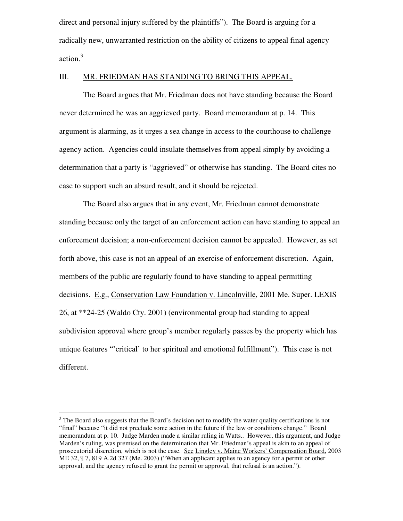direct and personal injury suffered by the plaintiffs"). The Board is arguing for a radically new, unwarranted restriction on the ability of citizens to appeal final agency action.<sup>3</sup>

#### III. MR. FRIEDMAN HAS STANDING TO BRING THIS APPEAL.

 The Board argues that Mr. Friedman does not have standing because the Board never determined he was an aggrieved party. Board memorandum at p. 14. This argument is alarming, as it urges a sea change in access to the courthouse to challenge agency action. Agencies could insulate themselves from appeal simply by avoiding a determination that a party is "aggrieved" or otherwise has standing. The Board cites no case to support such an absurd result, and it should be rejected.

 The Board also argues that in any event, Mr. Friedman cannot demonstrate standing because only the target of an enforcement action can have standing to appeal an enforcement decision; a non-enforcement decision cannot be appealed. However, as set forth above, this case is not an appeal of an exercise of enforcement discretion. Again, members of the public are regularly found to have standing to appeal permitting decisions. E.g., Conservation Law Foundation v. Lincolnville, 2001 Me. Super. LEXIS 26, at \*\*24-25 (Waldo Cty. 2001) (environmental group had standing to appeal subdivision approval where group's member regularly passes by the property which has unique features "'critical' to her spiritual and emotional fulfillment"). This case is not different.

l

 $3$  The Board also suggests that the Board's decision not to modify the water quality certifications is not "final" because "it did not preclude some action in the future if the law or conditions change." Board memorandum at p. 10. Judge Marden made a similar ruling in Watts.. However, this argument, and Judge Marden's ruling, was premised on the determination that Mr. Friedman's appeal is akin to an appeal of prosecutorial discretion, which is not the case. See Lingley v. Maine Workers' Compensation Board, 2003 ME 32, ¶ 7, 819 A.2d 327 (Me. 2003) ("When an applicant applies to an agency for a permit or other approval, and the agency refused to grant the permit or approval, that refusal is an action.").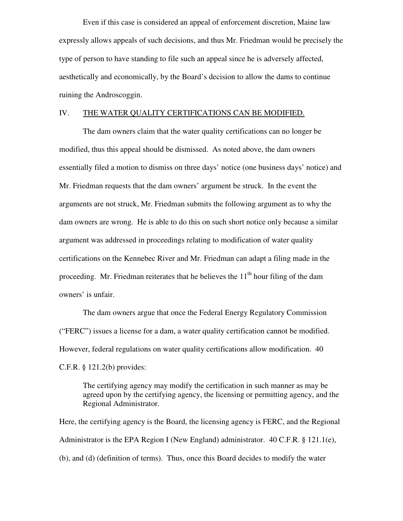Even if this case is considered an appeal of enforcement discretion, Maine law expressly allows appeals of such decisions, and thus Mr. Friedman would be precisely the type of person to have standing to file such an appeal since he is adversely affected, aesthetically and economically, by the Board's decision to allow the dams to continue ruining the Androscoggin.

### IV. THE WATER QUALITY CERTIFICATIONS CAN BE MODIFIED.

 The dam owners claim that the water quality certifications can no longer be modified, thus this appeal should be dismissed. As noted above, the dam owners essentially filed a motion to dismiss on three days' notice (one business days' notice) and Mr. Friedman requests that the dam owners' argument be struck. In the event the arguments are not struck, Mr. Friedman submits the following argument as to why the dam owners are wrong. He is able to do this on such short notice only because a similar argument was addressed in proceedings relating to modification of water quality certifications on the Kennebec River and Mr. Friedman can adapt a filing made in the proceeding. Mr. Friedman reiterates that he believes the  $11<sup>th</sup>$  hour filing of the dam owners' is unfair.

 The dam owners argue that once the Federal Energy Regulatory Commission ("FERC") issues a license for a dam, a water quality certification cannot be modified. However, federal regulations on water quality certifications allow modification. 40 C.F.R. § 121.2(b) provides:

The certifying agency may modify the certification in such manner as may be agreed upon by the certifying agency, the licensing or permitting agency, and the Regional Administrator.

Here, the certifying agency is the Board, the licensing agency is FERC, and the Regional Administrator is the EPA Region I (New England) administrator. 40 C.F.R. § 121.1(e), (b), and (d) (definition of terms). Thus, once this Board decides to modify the water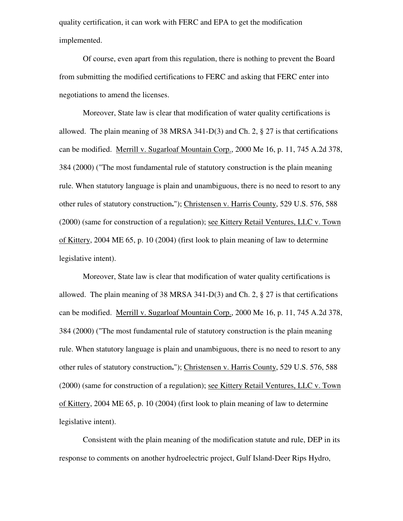quality certification, it can work with FERC and EPA to get the modification implemented.

 Of course, even apart from this regulation, there is nothing to prevent the Board from submitting the modified certifications to FERC and asking that FERC enter into negotiations to amend the licenses.

Moreover, State law is clear that modification of water quality certifications is allowed. The plain meaning of 38 MRSA 341-D(3) and Ch. 2, § 27 is that certifications can be modified. Merrill v. Sugarloaf Mountain Corp., 2000 Me 16, p. 11, 745 A.2d 378, 384 (2000) ("The most fundamental rule of statutory construction is the plain meaning rule. When statutory language is plain and unambiguous, there is no need to resort to any other rules of statutory construction**.**"); Christensen v. Harris County, 529 U.S. 576, 588 (2000) (same for construction of a regulation); see Kittery Retail Ventures, LLC v. Town of Kittery, 2004 ME 65, p. 10 (2004) (first look to plain meaning of law to determine legislative intent).

Moreover, State law is clear that modification of water quality certifications is allowed. The plain meaning of 38 MRSA 341-D(3) and Ch. 2, § 27 is that certifications can be modified. Merrill v. Sugarloaf Mountain Corp., 2000 Me 16, p. 11, 745 A.2d 378, 384 (2000) ("The most fundamental rule of statutory construction is the plain meaning rule. When statutory language is plain and unambiguous, there is no need to resort to any other rules of statutory construction**.**"); Christensen v. Harris County, 529 U.S. 576, 588 (2000) (same for construction of a regulation); see Kittery Retail Ventures, LLC v. Town of Kittery, 2004 ME 65, p. 10 (2004) (first look to plain meaning of law to determine legislative intent).

Consistent with the plain meaning of the modification statute and rule, DEP in its response to comments on another hydroelectric project, Gulf Island-Deer Rips Hydro,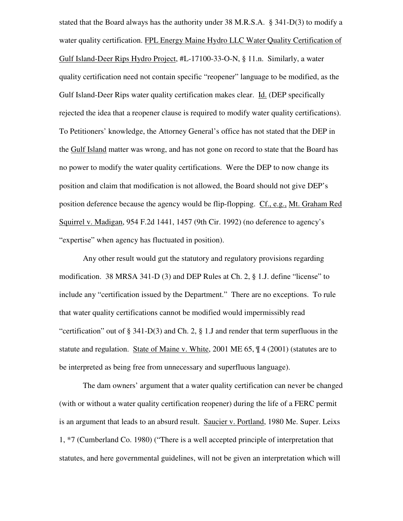stated that the Board always has the authority under 38 M.R.S.A. § 341-D(3) to modify a water quality certification. FPL Energy Maine Hydro LLC Water Quality Certification of Gulf Island-Deer Rips Hydro Project, #L-17100-33-O-N, § 11.n. Similarly, a water quality certification need not contain specific "reopener" language to be modified, as the Gulf Island-Deer Rips water quality certification makes clear. Id. (DEP specifically rejected the idea that a reopener clause is required to modify water quality certifications). To Petitioners' knowledge, the Attorney General's office has not stated that the DEP in the Gulf Island matter was wrong, and has not gone on record to state that the Board has no power to modify the water quality certifications. Were the DEP to now change its position and claim that modification is not allowed, the Board should not give DEP's position deference because the agency would be flip-flopping. Cf., e.g., Mt. Graham Red Squirrel v. Madigan, 954 F.2d 1441, 1457 (9th Cir. 1992) (no deference to agency's "expertise" when agency has fluctuated in position).

 Any other result would gut the statutory and regulatory provisions regarding modification. 38 MRSA 341-D (3) and DEP Rules at Ch. 2, § 1.J. define "license" to include any "certification issued by the Department." There are no exceptions. To rule that water quality certifications cannot be modified would impermissibly read "certification" out of  $\S 341-D(3)$  and Ch. 2,  $\S 1$ . J and render that term superfluous in the statute and regulation. State of Maine v. White, 2001 ME 65, ¶ 4 (2001) (statutes are to be interpreted as being free from unnecessary and superfluous language).

The dam owners' argument that a water quality certification can never be changed (with or without a water quality certification reopener) during the life of a FERC permit is an argument that leads to an absurd result. Saucier v. Portland, 1980 Me. Super. Leixs 1, \*7 (Cumberland Co. 1980) ("There is a well accepted principle of interpretation that statutes, and here governmental guidelines, will not be given an interpretation which will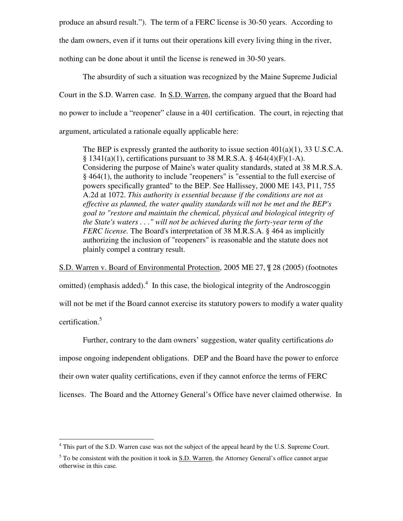produce an absurd result."). The term of a FERC license is 30-50 years. According to

the dam owners, even if it turns out their operations kill every living thing in the river,

nothing can be done about it until the license is renewed in 30-50 years.

The absurdity of such a situation was recognized by the Maine Supreme Judicial Court in the S.D. Warren case. In S.D. Warren, the company argued that the Board had no power to include a "reopener" clause in a 401 certification. The court, in rejecting that argument, articulated a rationale equally applicable here:

The BEP is expressly granted the authority to issue section  $401(a)(1)$ , 33 U.S.C.A.  $§ 1341(a)(1)$ , certifications pursuant to 38 M.R.S.A. § 464(4)(F)(1-A). Considering the purpose of Maine's water quality standards, stated at 38 M.R.S.A. § 464(1), the authority to include "reopeners" is "essential to the full exercise of powers specifically granted" to the BEP. See Hallissey, 2000 ME 143, P11, 755 A.2d at 1072. *This authority is essential because if the conditions are not as effective as planned, the water quality standards will not be met and the BEP's goal to "restore and maintain the chemical, physical and biological integrity of the State's waters . . ." will not be achieved during the forty-year term of the FERC license.* The Board's interpretation of 38 M.R.S.A. § 464 as implicitly authorizing the inclusion of "reopeners" is reasonable and the statute does not plainly compel a contrary result.

S.D. Warren v. Board of Environmental Protection, 2005 ME 27, ¶ 28 (2005) (footnotes omitted) (emphasis added). $4$  In this case, the biological integrity of the Androscoggin will not be met if the Board cannot exercise its statutory powers to modify a water quality certification.<sup>5</sup>

 Further, contrary to the dam owners' suggestion, water quality certifications *do* impose ongoing independent obligations. DEP and the Board have the power to enforce their own water quality certifications, even if they cannot enforce the terms of FERC licenses. The Board and the Attorney General's Office have never claimed otherwise. In

 4 This part of the S.D. Warren case was not the subject of the appeal heard by the U.S. Supreme Court.

 $<sup>5</sup>$  To be consistent with the position it took in  $S.D.$  Warren, the Attorney General's office cannot argue</sup> otherwise in this case.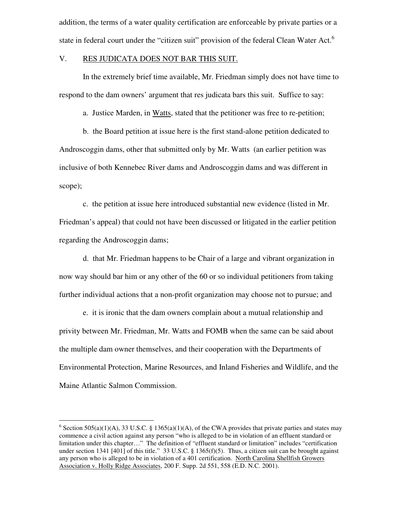addition, the terms of a water quality certification are enforceable by private parties or a state in federal court under the "citizen suit" provision of the federal Clean Water Act.<sup>6</sup>

### V. RES JUDICATA DOES NOT BAR THIS SUIT.

 In the extremely brief time available, Mr. Friedman simply does not have time to respond to the dam owners' argument that res judicata bars this suit. Suffice to say:

a. Justice Marden, in Watts, stated that the petitioner was free to re-petition;

 b. the Board petition at issue here is the first stand-alone petition dedicated to Androscoggin dams, other that submitted only by Mr. Watts (an earlier petition was inclusive of both Kennebec River dams and Androscoggin dams and was different in scope);

 c. the petition at issue here introduced substantial new evidence (listed in Mr. Friedman's appeal) that could not have been discussed or litigated in the earlier petition regarding the Androscoggin dams;

 d. that Mr. Friedman happens to be Chair of a large and vibrant organization in now way should bar him or any other of the 60 or so individual petitioners from taking further individual actions that a non-profit organization may choose not to pursue; and

 e. it is ironic that the dam owners complain about a mutual relationship and privity between Mr. Friedman, Mr. Watts and FOMB when the same can be said about the multiple dam owner themselves, and their cooperation with the Departments of Environmental Protection, Marine Resources, and Inland Fisheries and Wildlife, and the Maine Atlantic Salmon Commission.

 $\overline{a}$ 

<sup>&</sup>lt;sup>6</sup> Section 505(a)(1)(A), 33 U.S.C. § 1365(a)(1)(A), of the CWA provides that private parties and states may commence a civil action against any person "who is alleged to be in violation of an effluent standard or limitation under this chapter…" The definition of "effluent standard or limitation" includes "certification under section 1341 [401] of this title." 33 U.S.C. § 1365(f)(5). Thus, a citizen suit can be brought against any person who is alleged to be in violation of a 401 certification. North Carolina Shellfish Growers Association v. Holly Ridge Associates, 200 F. Supp. 2d 551, 558 (E.D. N.C. 2001).